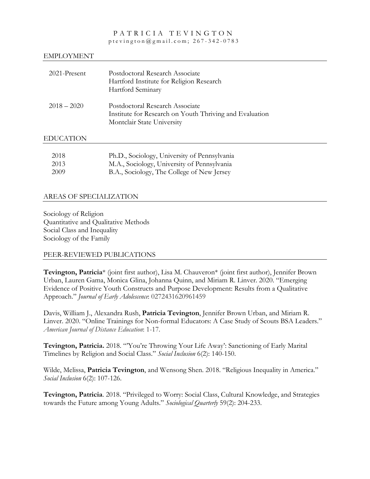#### PATRICIA TEVINGTON ptevington@gmail.com ; 267 - 342 - 078 3

#### EMPLOYMENT

| 2021-Present  | Postdoctoral Research Associate<br>Hartford Institute for Religion Research<br>Hartford Seminary                         |
|---------------|--------------------------------------------------------------------------------------------------------------------------|
| $2018 - 2020$ | Postdoctoral Research Associate<br>Institute for Research on Youth Thriving and Evaluation<br>Montclair State University |

#### EDUCATION

| 2018  | Ph.D., Sociology, University of Pennsylvania |
|-------|----------------------------------------------|
| 2013  | M.A., Sociology, University of Pennsylvania  |
| -2009 | B.A., Sociology, The College of New Jersey   |

## AREAS OF SPECIALIZATION

Sociology of Religion Quantitative and Qualitative Methods Social Class and Inequality Sociology of the Family

## PEER-REVIEWED PUBLICATIONS

**Tevington, Patricia**\* (joint first author), Lisa M. Chauveron\* (joint first author), Jennifer Brown Urban, Lauren Gama, Monica Glina, Johanna Quinn, and Miriam R. Linver. 2020. "Emerging Evidence of Positive Youth Constructs and Purpose Development: Results from a Qualitative Approach." *Journal of Early Adolescence*: 0272431620961459

Davis, William J., Alexandra Rush, **Patricia Tevington**, Jennifer Brown Urban, and Miriam R. Linver. 2020. "Online Trainings for Non-formal Educators: A Case Study of Scouts BSA Leaders." *American Journal of Distance Education*: 1-17.

**Tevington, Patricia.** 2018. "'You're Throwing Your Life Away': Sanctioning of Early Marital Timelines by Religion and Social Class." *Social Inclusion* 6(2): 140-150.

Wilde, Melissa, **Patricia Tevington**, and Wensong Shen. 2018. "Religious Inequality in America." *Social Inclusion* 6(2): 107-126.

**Tevington, Patricia**. 2018. "Privileged to Worry: Social Class, Cultural Knowledge, and Strategies towards the Future among Young Adults." *Sociological Quarterly* 59(2): 204-233.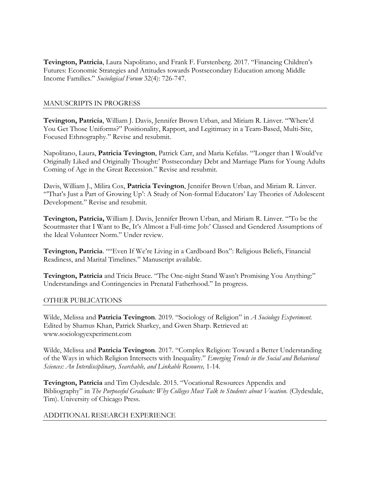**Tevington, Patricia**, Laura Napolitano, and Frank F. Furstenberg. 2017. "Financing Children's Futures: Economic Strategies and Attitudes towards Postsecondary Education among Middle Income Families." *Sociological Forum* 32(4): 726-747.

#### MANUSCRIPTS IN PROGRESS

**Tevington, Patricia**, William J. Davis, Jennifer Brown Urban, and Miriam R. Linver. "'Where'd You Get Those Uniforms?" Positionality, Rapport, and Legitimacy in a Team-Based, Multi-Site, Focused Ethnography." Revise and resubmit.

Napolitano, Laura, **Patricia Tevington**, Patrick Carr, and Maria Kefalas. "'Longer than I Would've Originally Liked and Originally Thought:' Postsecondary Debt and Marriage Plans for Young Adults Coming of Age in the Great Recession." Revise and resubmit.

Davis, William J., Milira Cox, **Patricia Tevington**, Jennifer Brown Urban, and Miriam R. Linver. "'That's Just a Part of Growing Up': A Study of Non-formal Educators' Lay Theories of Adolescent Development." Revise and resubmit.

**Tevington, Patricia,** William J. Davis, Jennifer Brown Urban, and Miriam R. Linver. "'To be the Scoutmaster that I Want to Be, It's Almost a Full-time Job:' Classed and Gendered Assumptions of the Ideal Volunteer Norm." Under review.

**Tevington, Patricia**. ""Even If We're Living in a Cardboard Box": Religious Beliefs, Financial Readiness, and Marital Timelines." Manuscript available.

**Tevington, Patricia** and Tricia Bruce. "The One-night Stand Wasn't Promising You Anything:" Understandings and Contingencies in Prenatal Fatherhood." In progress.

#### OTHER PUBLICATIONS

Wilde, Melissa and **Patricia Tevington**. 2019. "Sociology of Religion" in *A Sociology Experiment*. Edited by Shamus Khan, Patrick Sharkey, and Gwen Sharp. Retrieved at: www.sociologyexperiment.com

Wilde, Melissa and **Patricia Tevington**. 2017. "Complex Religion: Toward a Better Understanding of the Ways in which Religion Intersects with Inequality." *Emerging Trends in the Social and Behavioral Sciences: An Interdisciplinary, Searchable, and Linkable Resource,* 1-14*.* 

**Tevington, Patricia** and Tim Clydesdale. 2015. "Vocational Resources Appendix and Bibliography" in *The Purposeful Graduate: Why Colleges Must Talk to Students about Vocation*. (Clydesdale, Tim). University of Chicago Press.

## ADDITIONAL RESEARCH EXPERIENCE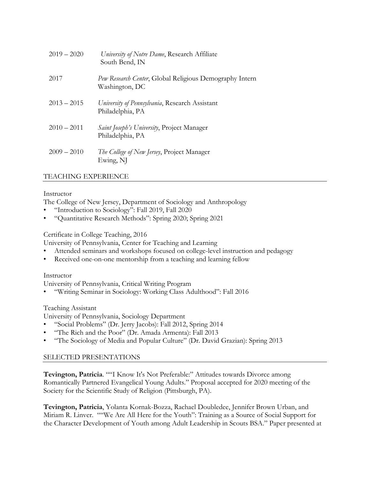| $2019 - 2020$ | University of Notre Dame, Research Affiliate<br>South Bend, IN            |
|---------------|---------------------------------------------------------------------------|
| 2017          | Pew Research Center, Global Religious Demography Intern<br>Washington, DC |
| $2013 - 2015$ | University of Pennsylvania, Research Assistant<br>Philadelphia, PA        |
| $2010 - 2011$ | <i>Saint Joseph's University</i> , Project Manager<br>Philadelphia, PA    |
| $2009 - 2010$ | <i>The College of New Jersey</i> , Project Manager<br>Ewing, NJ           |

# TEACHING EXPERIENCE

## Instructor

The College of New Jersey, Department of Sociology and Anthropology

- "Introduction to Sociology": Fall 2019, Fall 2020
- "Quantitative Research Methods": Spring 2020; Spring 2021

## Certificate in College Teaching, 2016

University of Pennsylvania, Center for Teaching and Learning

- Attended seminars and workshops focused on college-level instruction and pedagogy
- Received one-on-one mentorship from a teaching and learning fellow

## Instructor

University of Pennsylvania, Critical Writing Program

• "Writing Seminar in Sociology: Working Class Adulthood": Fall 2016

## Teaching Assistant

University of Pennsylvania, Sociology Department

- "Social Problems" (Dr. Jerry Jacobs): Fall 2012, Spring 2014
- "The Rich and the Poor" (Dr. Amada Armenta): Fall 2013
- "The Sociology of Media and Popular Culture" (Dr. David Grazian): Spring 2013

## SELECTED PRESENTATIONS

**Tevington, Patricia**. ""I Know It's Not Preferable:" Attitudes towards Divorce among Romantically Partnered Evangelical Young Adults." Proposal accepted for 2020 meeting of the Society for the Scientific Study of Religion (Pittsburgh, PA).

**Tevington, Patricia**, Yolanta Kornak-Bozza, Rachael Doubledee, Jennifer Brown Urban, and Miriam R. Linver. ""We Are All Here for the Youth": Training as a Source of Social Support for the Character Development of Youth among Adult Leadership in Scouts BSA." Paper presented at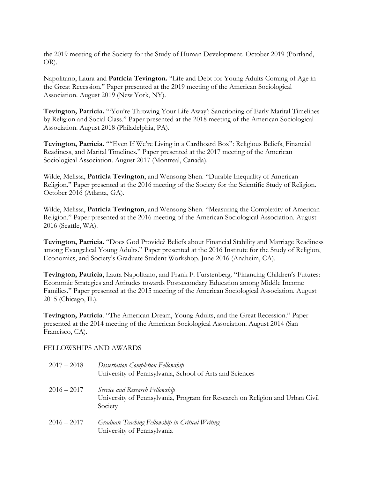the 2019 meeting of the Society for the Study of Human Development. October 2019 (Portland, OR).

Napolitano, Laura and **Patricia Tevington.** "Life and Debt for Young Adults Coming of Age in the Great Recession." Paper presented at the 2019 meeting of the American Sociological Association. August 2019 (New York, NY).

**Tevington, Patricia.** "'You're Throwing Your Life Away': Sanctioning of Early Marital Timelines by Religion and Social Class." Paper presented at the 2018 meeting of the American Sociological Association. August 2018 (Philadelphia, PA).

**Tevington, Patricia.** ""Even If We're Living in a Cardboard Box": Religious Beliefs, Financial Readiness, and Marital Timelines." Paper presented at the 2017 meeting of the American Sociological Association. August 2017 (Montreal, Canada).

Wilde, Melissa, **Patricia Tevington**, and Wensong Shen. "Durable Inequality of American Religion." Paper presented at the 2016 meeting of the Society for the Scientific Study of Religion. October 2016 (Atlanta, GA).

Wilde, Melissa, **Patricia Tevington**, and Wensong Shen. "Measuring the Complexity of American Religion." Paper presented at the 2016 meeting of the American Sociological Association. August 2016 (Seattle, WA).

**Tevington, Patricia.** "Does God Provide? Beliefs about Financial Stability and Marriage Readiness among Evangelical Young Adults." Paper presented at the 2016 Institute for the Study of Religion, Economics, and Society's Graduate Student Workshop. June 2016 (Anaheim, CA).

**Tevington, Patricia**, Laura Napolitano, and Frank F. Furstenberg. "Financing Children's Futures: Economic Strategies and Attitudes towards Postsecondary Education among Middle Income Families." Paper presented at the 2015 meeting of the American Sociological Association. August 2015 (Chicago, IL).

**Tevington, Patricia**. "The American Dream, Young Adults, and the Great Recession." Paper presented at the 2014 meeting of the American Sociological Association. August 2014 (San Francisco, CA).

#### FELLOWSHIPS AND AWARDS

| $2017 - 2018$ | Dissertation Completion Fellowship<br>University of Pennsylvania, School of Arts and Sciences                              |
|---------------|----------------------------------------------------------------------------------------------------------------------------|
| $2016 - 2017$ | Service and Research Fellowship<br>University of Pennsylvania, Program for Research on Religion and Urban Civil<br>Society |
| $2016 - 2017$ | Graduate Teaching Fellowship in Critical Writing<br>University of Pennsylvania                                             |